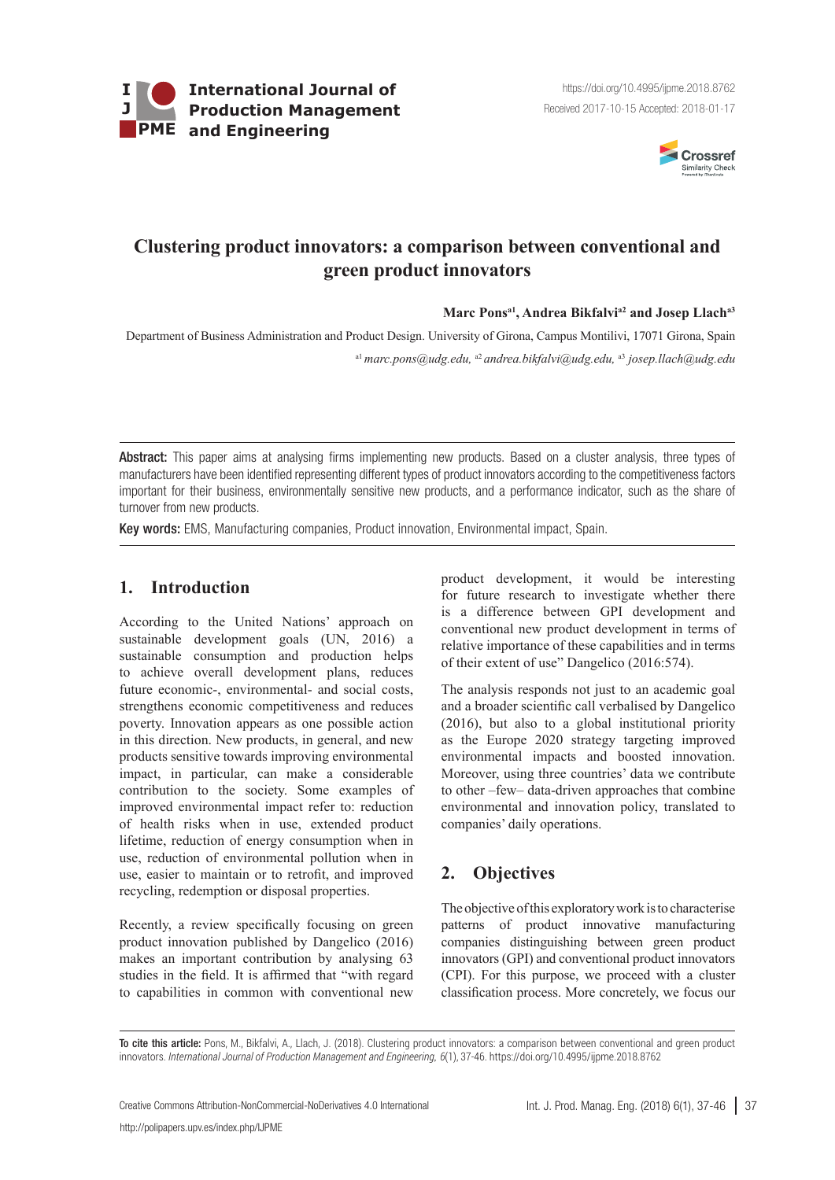



# **Clustering product innovators: a comparison between conventional and green product innovators**

#### Marc Pons<sup>a1</sup>, Andrea Bikfalvi<sup>a2</sup> and Josep Llach<sup>a3</sup>

Department of Business Administration and Product Design. University of Girona, Campus Montilivi, 17071 Girona, Spain a1 *[marc.pons@udg.edu](mailto:marc.pons@udg.edu),* a2 *andrea.bikfalvi@udg.edu,* a3 *josep.llach@udg.edu*

Abstract: This paper aims at analysing firms implementing new products. Based on a cluster analysis, three types of manufacturers have been identified representing different types of product innovators according to the competitiveness factors important for their business, environmentally sensitive new products, and a performance indicator, such as the share of turnover from new products.

Key words: EMS, Manufacturing companies, Product innovation, Environmental impact, Spain.

# **1. Introduction**

According to the United Nations' approach on sustainable development goals (UN, 2016) a sustainable consumption and production helps to achieve overall development plans, reduces future economic-, environmental- and social costs, strengthens economic competitiveness and reduces poverty. Innovation appears as one possible action in this direction. New products, in general, and new products sensitive towards improving environmental impact, in particular, can make a considerable contribution to the society. Some examples of improved environmental impact refer to: reduction of health risks when in use, extended product lifetime, reduction of energy consumption when in use, reduction of environmental pollution when in use, easier to maintain or to retrofit, and improved recycling, redemption or disposal properties.

Recently, a review specifically focusing on green product innovation published by Dangelico (2016) makes an important contribution by analysing 63 studies in the field. It is affirmed that "with regard to capabilities in common with conventional new product development, it would be interesting for future research to investigate whether there is a difference between GPI development and conventional new product development in terms of relative importance of these capabilities and in terms of their extent of use" Dangelico (2016:574).

The analysis responds not just to an academic goal and a broader scientific call verbalised by Dangelico (2016), but also to a global institutional priority as the Europe 2020 strategy targeting improved environmental impacts and boosted innovation. Moreover, using three countries' data we contribute to other –few– data-driven approaches that combine environmental and innovation policy, translated to companies' daily operations.

# **2. Objectives**

The objective of this exploratory work is to characterise patterns of product innovative manufacturing companies distinguishing between green product innovators (GPI) and conventional product innovators (CPI). For this purpose, we proceed with a cluster classification process. More concretely, we focus our

To cite this article: Pons, M., Bikfalvi, A., Llach, J. (2018). Clustering product innovators: a comparison between conventional and green product innovators. *International Journal of Production Management and Engineering, 6*(1), 37-46. https://doi.org/10.4995/ijpme.2018.8762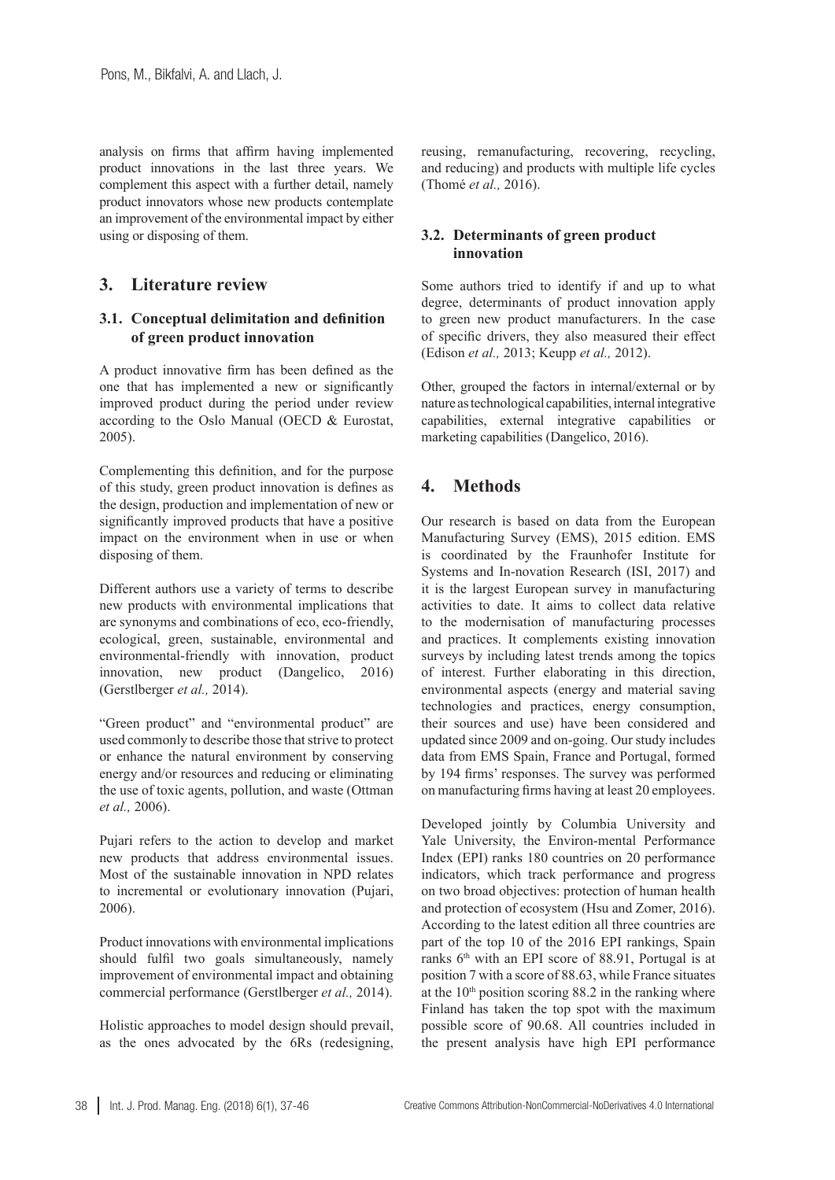analysis on firms that affirm having implemented product innovations in the last three years. We complement this aspect with a further detail, namely product innovators whose new products contemplate an improvement of the environmental impact by either using or disposing of them.

## **3. Literature review**

#### **3.1. Conceptual delimitation and definition of green product innovation**

A product innovative firm has been defined as the one that has implemented a new or significantly improved product during the period under review according to the Oslo Manual (OECD & Eurostat, 2005).

Complementing this definition, and for the purpose of this study, green product innovation is defines as the design, production and implementation of new or significantly improved products that have a positive impact on the environment when in use or when disposing of them.

Different authors use a variety of terms to describe new products with environmental implications that are synonyms and combinations of eco, eco-friendly, ecological, green, sustainable, environmental and environmental-friendly with innovation, product innovation, new product (Dangelico, 2016) (Gerstlberger *et al.,* 2014).

"Green product" and "environmental product" are used commonly to describe those that strive to protect or enhance the natural environment by conserving energy and/or resources and reducing or eliminating the use of toxic agents, pollution, and waste (Ottman *et al.,* 2006).

Pujari refers to the action to develop and market new products that address environmental issues. Most of the sustainable innovation in NPD relates to incremental or evolutionary innovation (Pujari, 2006).

Product innovations with environmental implications should fulfil two goals simultaneously, namely improvement of environmental impact and obtaining commercial performance (Gerstlberger *et al.,* 2014).

Holistic approaches to model design should prevail, as the ones advocated by the 6Rs (redesigning, reusing, remanufacturing, recovering, recycling, and reducing) and products with multiple life cycles (Thomé *et al.,* 2016).

## **3.2. Determinants of green product innovation**

Some authors tried to identify if and up to what degree, determinants of product innovation apply to green new product manufacturers. In the case of specific drivers, they also measured their effect (Edison *et al.,* 2013; Keupp *et al.,* 2012).

Other, grouped the factors in internal/external or by nature as technological capabilities, internal integrative capabilities, external integrative capabilities or marketing capabilities (Dangelico, 2016).

# **4. Methods**

Our research is based on data from the European Manufacturing Survey (EMS), 2015 edition. EMS is coordinated by the Fraunhofer Institute for Systems and In-novation Research (ISI, 2017) and it is the largest European survey in manufacturing activities to date. It aims to collect data relative to the modernisation of manufacturing processes and practices. It complements existing innovation surveys by including latest trends among the topics of interest. Further elaborating in this direction, environmental aspects (energy and material saving technologies and practices, energy consumption, their sources and use) have been considered and updated since 2009 and on-going. Our study includes data from EMS Spain, France and Portugal, formed by 194 firms' responses. The survey was performed on manufacturing firms having at least 20 employees.

Developed jointly by Columbia University and Yale University, the Environ-mental Performance Index (EPI) ranks 180 countries on 20 performance indicators, which track performance and progress on two broad objectives: protection of human health and protection of ecosystem (Hsu and Zomer, 2016). According to the latest edition all three countries are part of the top 10 of the 2016 EPI rankings, Spain ranks  $6<sup>th</sup>$  with an EPI score of 88.91, Portugal is at position 7 with a score of 88.63, while France situates at the  $10<sup>th</sup>$  position scoring 88.2 in the ranking where Finland has taken the top spot with the maximum possible score of 90.68. All countries included in the present analysis have high EPI performance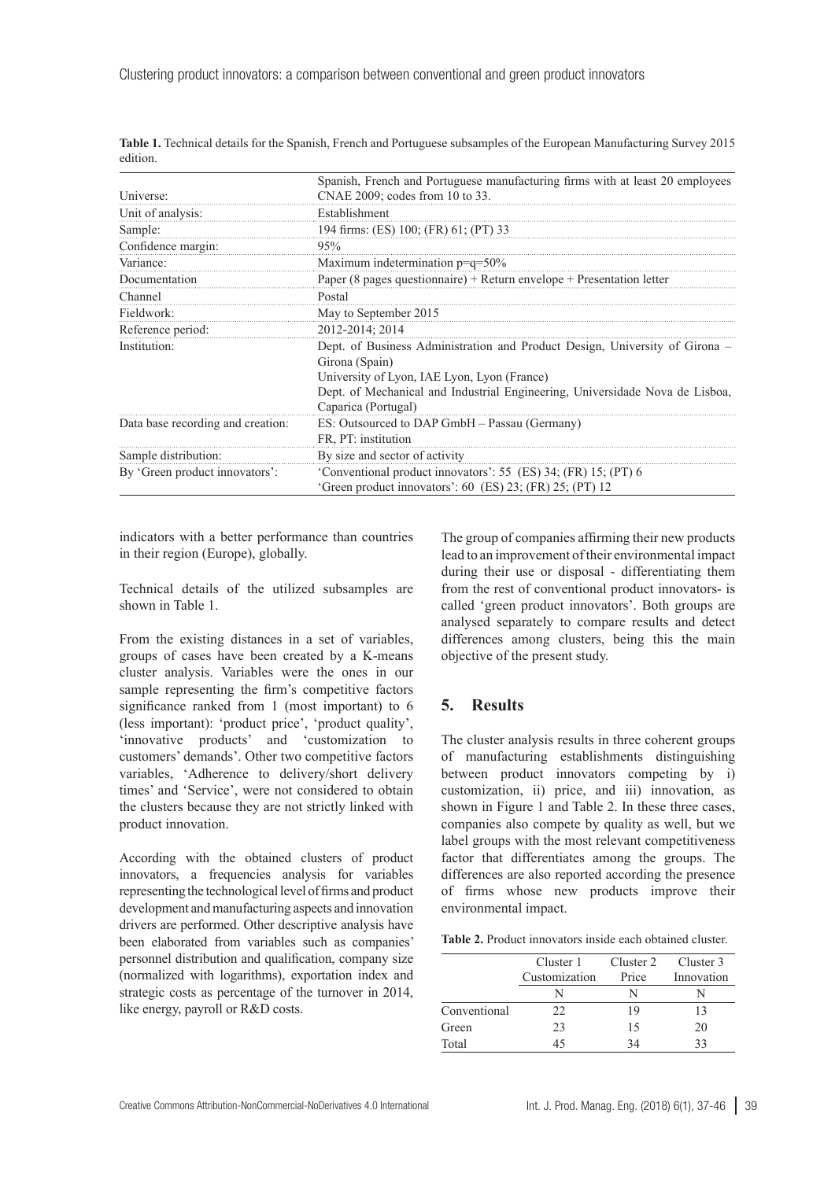| Universe:                         | Spanish, French and Portuguese manufacturing firms with at least 20 employees<br>CNAE 2009; codes from 10 to 33.           |
|-----------------------------------|----------------------------------------------------------------------------------------------------------------------------|
| Unit of analysis:                 | Establishment                                                                                                              |
| Sample:                           | 194 firms: (ES) 100; (FR) 61; (PT) 33                                                                                      |
| Confidence margin:                | 95%                                                                                                                        |
| Variance:                         | Maximum indetermination p=q=50%                                                                                            |
| Documentation                     | Paper (8 pages questionnaire) + Return envelope + Presentation letter                                                      |
| Channel                           | Postal                                                                                                                     |
| Fieldwork:                        | May to September 2015                                                                                                      |
| Reference period:                 | 2012-2014; 2014                                                                                                            |
| Institution:                      | Dept. of Business Administration and Product Design, University of Girona -<br>Girona (Spain)                              |
|                                   | University of Lyon, IAE Lyon, Lyon (France)                                                                                |
|                                   | Dept. of Mechanical and Industrial Engineering, Universidade Nova de Lisboa,<br>Caparica (Portugal)                        |
| Data base recording and creation: | ES: Outsourced to DAP GmbH - Passau (Germany)                                                                              |
|                                   | FR, PT: institution                                                                                                        |
| Sample distribution:              | By size and sector of activity                                                                                             |
| By 'Green product innovators':    | 'Conventional product innovators': 55 (ES) 34; (FR) 15; (PT) 6<br>'Green product innovators': 60 (ES) 23; (FR) 25; (PT) 12 |

<span id="page-2-0"></span>**Table 1.** Technical details for the Spanish, French and Portuguese subsamples of the European Manufacturing Survey 2015 edition.

indicators with a better performance than countries in their region (Europe), globally.

Technical details of the utilized subsamples are shown in [Table 1](#page-2-0).

From the existing distances in a set of variables, groups of cases have been created by a K-means cluster analysis. Variables were the ones in our sample representing the firm's competitive factors significance ranked from 1 (most important) to 6 (less important): 'product price', 'product quality', 'innovative products' and 'customization to customers' demands'. Other two competitive factors variables, 'Adherence to delivery/short delivery times' and 'Service', were not considered to obtain the clusters because they are not strictly linked with product innovation.

According with the obtained clusters of product innovators, a frequencies analysis for variables representing the technological level of firms and product development and manufacturing aspects and innovation drivers are performed. Other descriptive analysis have been elaborated from variables such as companies' personnel distribution and qualification, company size (normalized with logarithms), exportation index and strategic costs as percentage of the turnover in 2014, like energy, payroll or R&D costs.

The group of companies affirming their new products lead to an improvement of their environmental impact during their use or disposal - differentiating them from the rest of conventional product innovators- is called 'green product innovators'. Both groups are analysed separately to compare results and detect differences among clusters, being this the main objective of the present study.

#### **5. Results**

The cluster analysis results in three coherent groups of manufacturing establishments distinguishing between product innovators competing by i) customization, ii) price, and iii) innovation, as shown in [Figure 1](#page-3-0) and [Table](#page-2-1) 2. In these three cases, companies also compete by quality as well, but we label groups with the most relevant competitiveness factor that differentiates among the groups. The differences are also reported according the presence of firms whose new products improve their environmental impact.

<span id="page-2-1"></span>

|  | <b>Table 2.</b> Product innovators inside each obtained cluster. |
|--|------------------------------------------------------------------|
|--|------------------------------------------------------------------|

|              | Cluster 1     | Cluster 2 | Cluster 3  |
|--------------|---------------|-----------|------------|
|              | Customization | Price     | Innovation |
|              |               | N         |            |
| Conventional | 22            | 19        | 13         |
| Green        | 23            | 15        | 20         |
| Total        | 45            | 34        | 33         |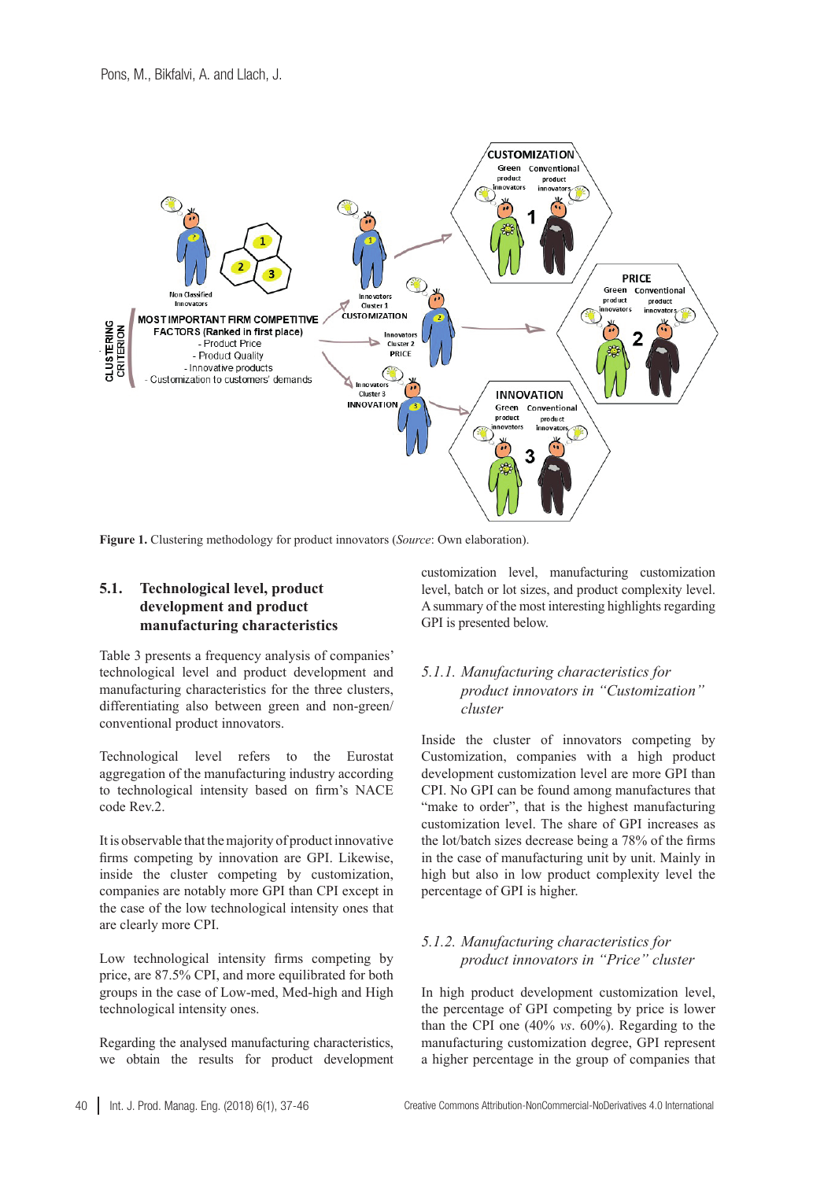

<span id="page-3-0"></span>**Figure 1.** Clustering methodology for product innovators (*Source*: Own elaboration).

## **5.1. Technological level, product development and product manufacturing characteristics**

[Table 3](#page-4-0) presents a frequency analysis of companies' technological level and product development and manufacturing characteristics for the three clusters, differentiating also between green and non-green/ conventional product innovators.

Technological level refers to the Eurostat aggregation of the manufacturing industry according to technological intensity based on firm's NACE code Rev.2.

It is observable that the majority of product innovative firms competing by innovation are GPI. Likewise, inside the cluster competing by customization, companies are notably more GPI than CPI except in the case of the low technological intensity ones that are clearly more CPI.

Low technological intensity firms competing by price, are 87.5% CPI, and more equilibrated for both groups in the case of Low-med, Med-high and High technological intensity ones.

Regarding the analysed manufacturing characteristics, we obtain the results for product development customization level, manufacturing customization level, batch or lot sizes, and product complexity level. A summary of the most interesting highlights regarding GPI is presented below.

### *5.1.1. Manufacturing characteristics for product innovators in "Customization" cluster*

Inside the cluster of innovators competing by Customization, companies with a high product development customization level are more GPI than CPI. No GPI can be found among manufactures that "make to order", that is the highest manufacturing customization level. The share of GPI increases as the lot/batch sizes decrease being a 78% of the firms in the case of manufacturing unit by unit. Mainly in high but also in low product complexity level the percentage of GPI is higher.

## *5.1.2. Manufacturing characteristics for product innovators in "Price" cluster*

In high product development customization level, the percentage of GPI competing by price is lower than the CPI one (40% *vs*. 60%). Regarding to the manufacturing customization degree, GPI represent a higher percentage in the group of companies that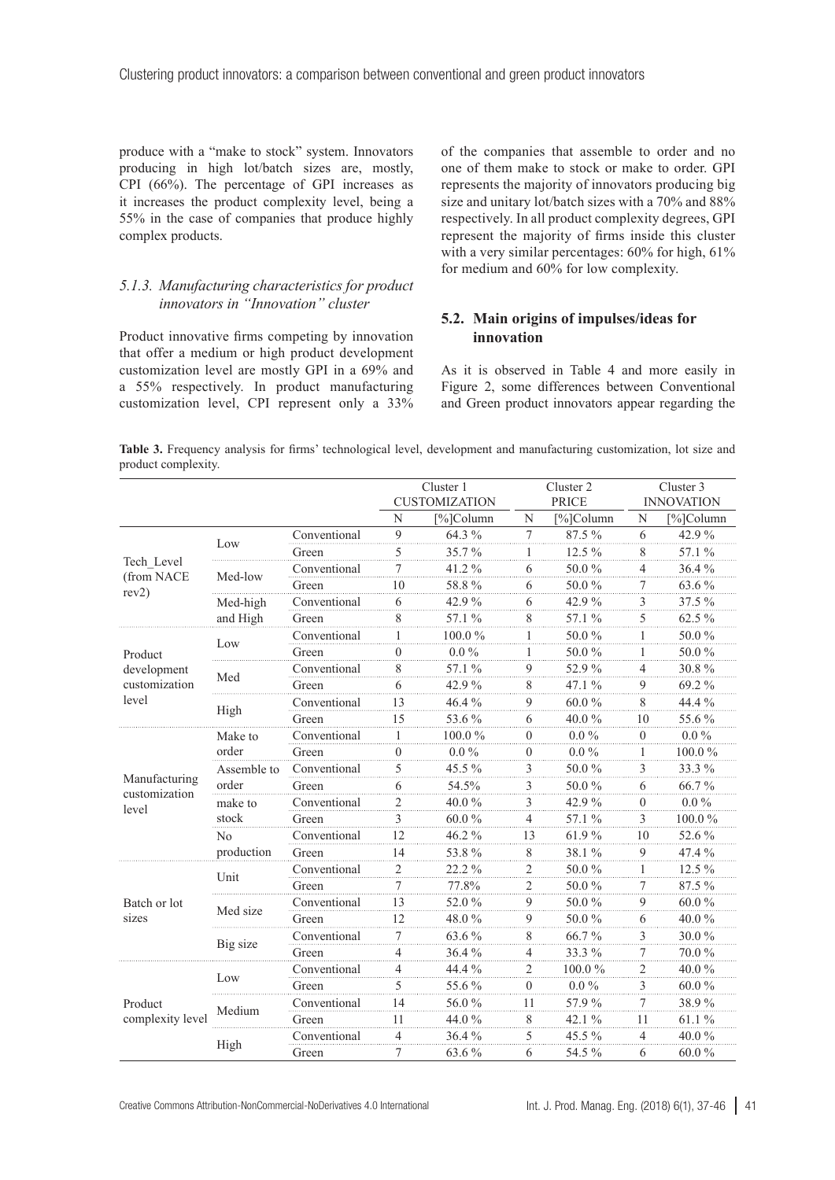produce with a "make to stock" system. Innovators producing in high lot/batch sizes are, mostly, CPI (66%). The percentage of GPI increases as it increases the product complexity level, being a 55% in the case of companies that produce highly complex products.

#### *5.1.3. Manufacturing characteristics for product innovators in "Innovation" cluster*

Product innovative firms competing by innovation that offer a medium or high product development customization level are mostly GPI in a 69% and a 55% respectively. In product manufacturing customization level, CPI represent only a 33% of the companies that assemble to order and no one of them make to stock or make to order. GPI represents the majority of innovators producing big size and unitary lot/batch sizes with a 70% and 88% respectively. In all product complexity degrees, GPI represent the majority of firms inside this cluster with a very similar percentages:  $60\%$  for high,  $61\%$ for medium and 60% for low complexity.

#### **5.2. Main origins of impulses/ideas for innovation**

As it is observed in [Table 4](#page-5-0) and more easily in Figure 2, some differences between Conventional and Green product innovators appear regarding the

<span id="page-4-0"></span>**Table 3.** Frequency analysis for firms' technological level, development and manufacturing customization, lot size and product complexity.

|                                   |                      |              | Cluster 1      |                      |                | Cluster 2 |                | Cluster 3         |  |
|-----------------------------------|----------------------|--------------|----------------|----------------------|----------------|-----------|----------------|-------------------|--|
|                                   |                      |              |                | <b>CUSTOMIZATION</b> | <b>PRICE</b>   |           |                | <b>INNOVATION</b> |  |
|                                   |                      |              | N              | [%]Column            | N              | [%]Column | N              | [%]Column         |  |
|                                   | Low                  | Conventional | 9              | 64.3 %               | 7              | 87.5 %    | 6              | 42.9%             |  |
|                                   |                      | Green        | 5              | 35.7%                | 1              | 12.5 %    | 8              | 57.1 %            |  |
| Tech Level<br>(from NACE<br>rev2) | Med-low              | Conventional | $\tau$         | 41.2%                | 6              | 50.0%     | $\overline{4}$ | 36.4%             |  |
|                                   |                      | Green        | 10             | 58.8%                | 6              | 50.0%     | 7              | 63.6%             |  |
|                                   | Med-high             | Conventional | 6              | 42.9%                | 6              | 42.9%     | 3              | 37.5 %            |  |
|                                   | and High             | Green        | 8              | 57.1 %               | 8              | 57.1 %    | 5              | 62.5 %            |  |
|                                   | Low                  | Conventional | 1              | 100.0%               | 1              | 50.0%     | 1              | 50.0%             |  |
| Product                           |                      | Green        | $\theta$       | $0.0\%$              | 1              | 50.0%     | 1              | 50.0%             |  |
| development                       | Med                  | Conventional | 8              | 57.1 %               | 9              | 52.9%     | 4              | 30.8%             |  |
| customization                     |                      | Green        | 6              | 42.9%                | 8              | 47.1 %    | 9              | 69.2%             |  |
| level                             |                      | Conventional | 13             | 46.4%                | $\overline{9}$ | 60.0%     | 8              | 44.4 %            |  |
|                                   | High                 | Green        | 15             | 53.6%                | 6              | 40.0%     | 10             | 55.6%             |  |
|                                   | Make to<br>order     | Conventional |                | 100.0%               | $\theta$       | $0.0\,\%$ | $\theta$       | $0.0\,\%$         |  |
|                                   |                      | Green        | $\overline{0}$ | $0.0\%$              | $\theta$       | $0.0\%$   | 1              | $100.0~\%$        |  |
|                                   | Assemble to<br>order | Conventional | 5              | 45.5 %               | 3              | 50.0%     | 3              | 33.3%             |  |
| Manufacturing<br>customization    |                      | Green        | 6              | 54.5%                | 3              | 50.0%     | 6              | 66.7%             |  |
| level                             | make to              | Conventional | $\overline{c}$ | 40.0%                | 3              | 42.9%     | $\overline{0}$ | $0.0\%$           |  |
|                                   | stock                | Green        | 3              | 60.0%                | $\overline{4}$ | 57.1 %    | 3              | 100.0%            |  |
|                                   | No                   | Conventional | 12             | 46.2%                | 13             | 61.9%     | 10             | 52.6%             |  |
|                                   | production           | Green        | 14             | 53.8%                | 8              | 38.1%     | 9              | 47.4 %            |  |
|                                   |                      | Conventional | $\overline{2}$ | 22.2%                | $\overline{2}$ | 50.0%     | 1              | 12.5 %            |  |
|                                   | Unit                 | Green        | 7              | 77.8%                | 2              | 50.0%     | 7              | 87.5 %            |  |
| Batch or lot                      |                      | Conventional | 13             | 52.0%                | 9              | 50.0%     | 9              | $60.0\%$          |  |
| sizes                             | Med size             | Green        | 12             | 48.0%                | 9              | 50.0%     | 6              | 40.0%             |  |
|                                   |                      | Conventional | 7              | 63.6%                | 8              | 66.7%     | 3              | $30.0\,\%$        |  |
|                                   | Big size             | Green        | 4              | 36.4%                | 4              | 33.3%     | 7              | 70.0%             |  |
|                                   |                      | Conventional | 4              | 44.4 %               | $\overline{2}$ | 100.0%    | 2              | 40.0%             |  |
|                                   | Low                  | Green        | 5              | 55.6 %               | $\Omega$       | $0.0\%$   | 3              | 60.0%             |  |
| Product                           |                      | Conventional | 14             | 56.0%                | 11             | 57.9%     | 7              | 38.9%             |  |
| complexity level                  | Medium               | Green        | 11             | 44.0 %               | 8              | 42.1 $%$  | 11             | 61.1%             |  |
|                                   |                      | Conventional | $\overline{4}$ | 36.4%                | $\overline{5}$ | 45.5%     | $\overline{4}$ | 40.0%             |  |
|                                   | High                 | Green        | 7              | 63.6%                | 6              | 54.5 %    | 6              | 60.0%             |  |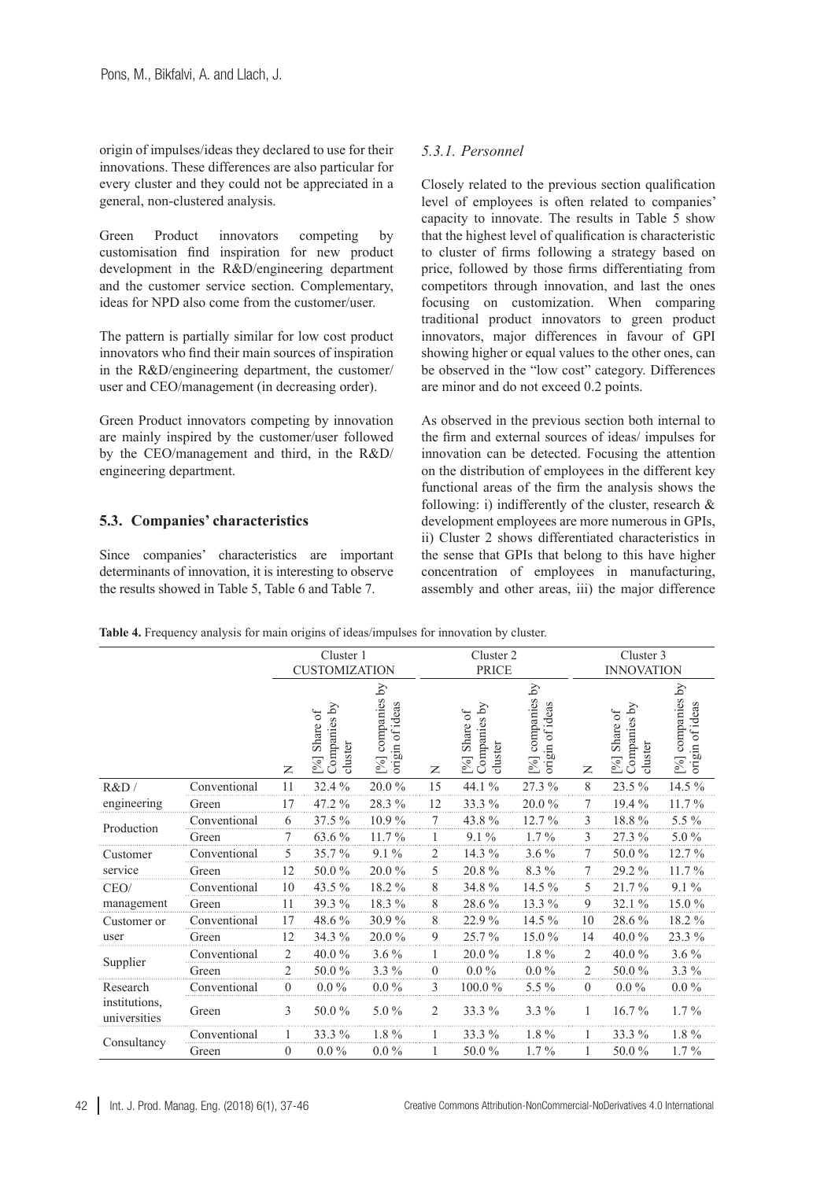origin of impulses/ideas they declared to use for their innovations. These differences are also particular for every cluster and they could not be appreciated in a general, non-clustered analysis.

Green Product innovators competing by customisation find inspiration for new product development in the R&D/engineering department and the customer service section. Complementary, ideas for NPD also come from the customer/user.

The pattern is partially similar for low cost product innovators who find their main sources of inspiration in the R&D/engineering department, the customer/ user and CEO/management (in decreasing order).

Green Product innovators competing by innovation are mainly inspired by the customer/user followed by the CEO/management and third, in the R&D/ engineering department.

#### **5.3. Companies' characteristics**

Since companies' characteristics are important determinants of innovation, it is interesting to observe the results showed in [Table](#page-7-0) 5, Table 6 and Table 7.

## *5.3.1. Personnel*

Closely related to the previous section qualification level of employees is often related to companies' capacity to innovate. The results in [Table 5](#page-7-0) show that the highest level of qualification is characteristic to cluster of firms following a strategy based on price, followed by those firms differentiating from competitors through innovation, and last the ones focusing on customization. When comparing traditional product innovators to green product innovators, major differences in favour of GPI showing higher or equal values to the other ones, can be observed in the "low cost" category. Differences are minor and do not exceed 0.2 points.

As observed in the previous section both internal to the firm and external sources of ideas/ impulses for innovation can be detected. Focusing the attention on the distribution of employees in the different key functional areas of the firm the analysis shows the following: i) indifferently of the cluster, research & development employees are more numerous in GPIs, ii) Cluster 2 shows differentiated characteristics in the sense that GPIs that belong to this have higher concentration of employees in manufacturing, assembly and other areas, iii) the major difference

<span id="page-5-0"></span>

|  |  |  |  | Table 4. Frequency analysis for main origins of ideas/impulses for innovation by cluster. |  |
|--|--|--|--|-------------------------------------------------------------------------------------------|--|
|  |  |  |  |                                                                                           |  |
|  |  |  |  |                                                                                           |  |
|  |  |  |  |                                                                                           |  |

|                               |              | Cluster 1<br><b>CUSTOMIZATION</b> |                                        |                                        |              | Cluster 2<br><b>PRICE</b>                            |                                        |                | Cluster 3<br><b>INNOVATION</b>                    |                                     |  |  |
|-------------------------------|--------------|-----------------------------------|----------------------------------------|----------------------------------------|--------------|------------------------------------------------------|----------------------------------------|----------------|---------------------------------------------------|-------------------------------------|--|--|
|                               |              | $\mathsf{z}$                      | Companies by<br>%] Share of<br>cluster | [%] companies by<br>of ideas<br>origin | Z            | $\rm{Vd}$<br>Share of<br>Companies<br>cluster<br>[%] | [%] companies by<br>of ideas<br>origin | Z              | Companies by<br>Share of<br>cluster<br>$\sqrt{6}$ | [%] companies by<br>origin of ideas |  |  |
| R&D/                          | Conventional | 11                                | 32.4 %                                 | 20.0%                                  | 15           | 44.1 %                                               | 27.3 %                                 | 8              | 23.5 %                                            | 14.5 %                              |  |  |
| engineering                   | Green        | 17                                | 47.2 %                                 | 28.3%                                  | 12           | 33.3 %                                               | 20.0%                                  | 7              | $19.4\%$                                          | 11.7%                               |  |  |
| Production                    | Conventional | 6                                 | 37.5 %                                 | 10.9%                                  | 7            | 43.8%                                                | $12.7\%$                               | 3              | 18.8%                                             | 5.5 %                               |  |  |
|                               | Green        |                                   | 63.6 %                                 | 11.7%                                  |              | $9.1\%$                                              | $1.7\%$                                | 3              | 27.3 %                                            | 5.0%                                |  |  |
| Customer                      | Conventional | 5                                 | 35.7%                                  | $9.1\%$                                | 2            | 14.3 %                                               | $3.6\%$                                | 7              | 50.0%                                             | 12.7%                               |  |  |
| service                       | Green        | 12                                | 50.0%                                  | 20.0%                                  | 5            | 20.8%                                                | 8.3 %                                  | 7              | 29.2 %                                            | 11.7%                               |  |  |
| CEO/                          | Conventional | 10                                | 43.5 %                                 | 18.2%                                  | 8            | 34.8%                                                | 14.5 %                                 | 5              | 21.7%                                             | $9.1\%$                             |  |  |
| management                    | Green        | 11                                | 39.3 %                                 | 18.3%                                  | 8            | 28.6%                                                | 13.3 %                                 | 9              | 32.1%                                             | 15.0%                               |  |  |
| Customer or                   | Conventional | 17                                | 48.6%                                  | 30.9%                                  | 8            | 22.9%                                                | 14.5 %                                 | 10             | 28.6%                                             | 18.2%                               |  |  |
| user                          | Green        | 12                                | 34.3 %                                 | 20.0%                                  | 9            | 25.7%                                                | 15.0%                                  | 14             | 40.0%                                             | 23.3%                               |  |  |
|                               | Conventional | $\overline{2}$                    | 40.0%                                  | $3.6\%$                                |              | 20.0%                                                | 1.8%                                   | $\overline{c}$ | 40.0%                                             | $3.6\%$                             |  |  |
| Supplier                      | Green        | $\overline{2}$                    | 50.0%                                  | $3.3\%$                                | $\mathbf{0}$ | $0.0\%$                                              | $0.0\,\%$                              | $\overline{2}$ | 50.0%                                             | 3.3 %                               |  |  |
| Research                      | Conventional | $\overline{0}$                    | $0.0\%$                                | $0.0\%$                                | 3            | 100.0%                                               | 5.5 %                                  | $\overline{0}$ | $0.0\%$                                           | $0.0\%$                             |  |  |
| institutions.<br>universities | Green        | 3                                 | 50.0%                                  | $5.0\%$                                | 2            | 33.3 %                                               | $3.3\%$                                | 1              | $16.7\%$                                          | $1.7\%$                             |  |  |
|                               | Conventional |                                   | 33.3 %                                 | $1.8\%$                                |              | 33.3 %                                               | 1.8%                                   |                | $33.3\%$                                          | $1.8\%$                             |  |  |
| Consultancy                   | Green        | 0                                 | $0.0\%$                                | $0.0\%$                                |              | 50.0%                                                | $1.7\%$                                |                | 50.0%                                             | $1.7\%$                             |  |  |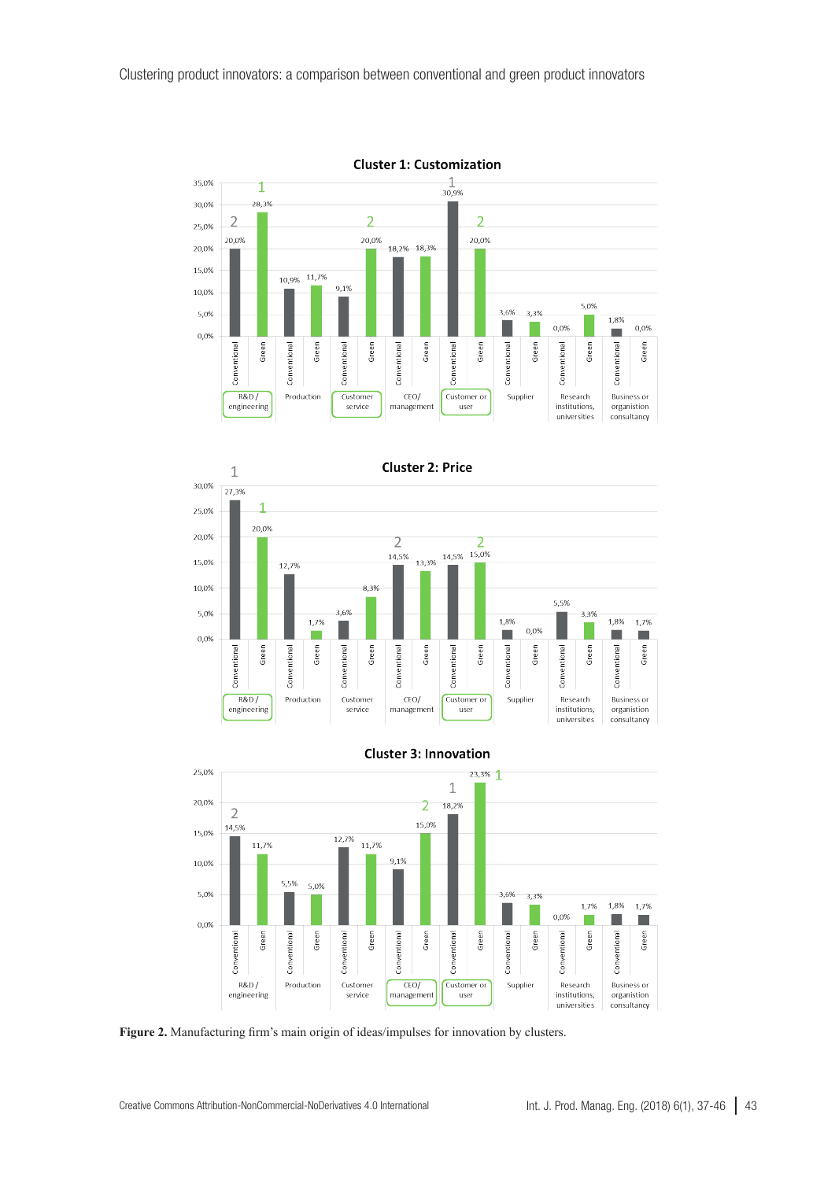





**Cluster 3: Innovation** 

**Figure 2.** Manufacturing firm's main origin of ideas/impulses for innovation by clusters.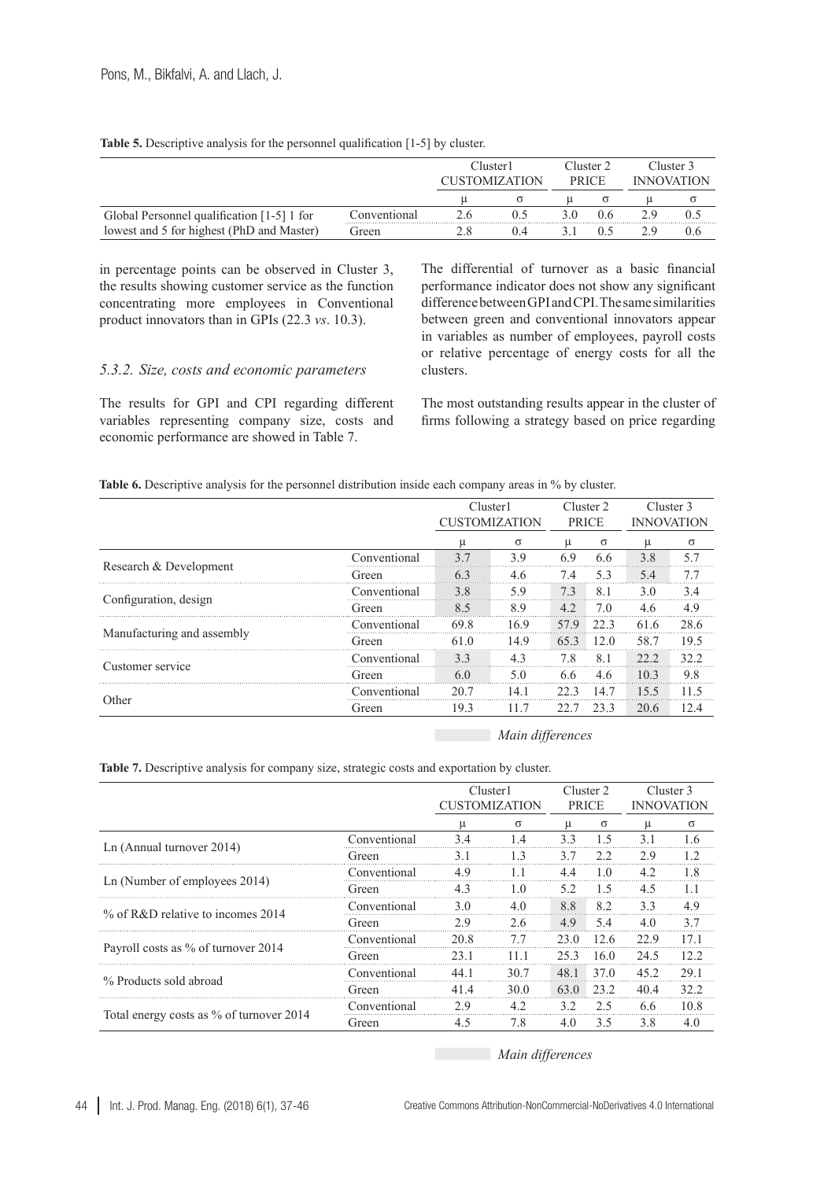<span id="page-7-0"></span>

|  | Table 5. Descriptive analysis for the personnel qualification [1-5] by cluster. |  |
|--|---------------------------------------------------------------------------------|--|
|  |                                                                                 |  |

|                                            |              | Cluster1<br><b>TISTOMIZATION</b> |  |  | Cluster 2 |  | Cluster 3         |
|--------------------------------------------|--------------|----------------------------------|--|--|-----------|--|-------------------|
|                                            |              |                                  |  |  |           |  | <b>INNOVATION</b> |
|                                            |              |                                  |  |  |           |  |                   |
| Global Personnel qualification [1-5] 1 for | ∴onventional |                                  |  |  |           |  |                   |
| lowest and 5 for highest (PhD and Master)  | Green        |                                  |  |  |           |  |                   |

in percentage points can be observed in Cluster 3, the results showing customer service as the function concentrating more employees in Conventional product innovators than in GPIs (22.3 *vs*. 10.3).

#### *5.3.2. Size, costs and economic parameters*

The results for GPI and CPI regarding different variables representing company size, costs and economic performance are showed in [Table 7.](#page-7-1)

The differential of turnover as a basic financial performance indicator does not show any significant difference between GPI and CPI. The same similarities between green and conventional innovators appear in variables as number of employees, payroll costs or relative percentage of energy costs for all the clusters.

The most outstanding results appear in the cluster of firms following a strategy based on price regarding

|  |  |  |  | <b>Table 6.</b> Descriptive analysis for the personnel distribution inside each company areas in % by cluster. |  |
|--|--|--|--|----------------------------------------------------------------------------------------------------------------|--|
|--|--|--|--|----------------------------------------------------------------------------------------------------------------|--|

|                            |              | Cluster1<br><b>CUSTOMIZATION</b> |          | Cluster 2<br><b>PRICE</b> |      |      | Cluster 3<br><b>INNOVATION</b> |
|----------------------------|--------------|----------------------------------|----------|---------------------------|------|------|--------------------------------|
|                            |              |                                  | $\sigma$ |                           | σ    | u    | $\sigma$                       |
|                            | Conventional | 37                               | 39       | 6 Q                       | 66   | 3.8  | 57                             |
| Research & Development     | Green)       | 63                               | 4.6      |                           | 53   | 5.4  | 7.7                            |
|                            | Conventional | 3.8                              | 5.9      | 7.3                       | 81   | 3.0  | 3.4                            |
| Configuration, design      | Green)       | 85                               | 89       | 42                        | 70   | 46   | 4.9                            |
|                            | Conventional | 69.8                             | 169      | 579                       | 22 3 | 616  | 28.6                           |
| Manufacturing and assembly | t freen      | 610                              | 14.9     | 653                       | 12.0 | 58.7 | 19.5                           |
|                            | Conventional | 33                               | 4.3      | 7.8                       | 81   | 222  | 32.2                           |
| Customer service           | Green        | 6()                              | 5 O      | 66                        | 4.6  | 10.3 | 9.8                            |
|                            | Conventional | 20.7                             | 14.1     | 22 Z                      | I 4  | 155  |                                |
| Other                      | Green)       | 193                              |          |                           | 23 3 | 20.6 |                                |

*Main differences*

<span id="page-7-1"></span>**Table 7.** Descriptive analysis for company size, strategic costs and exportation by cluster.

|                                          |              | Cluster1<br><b>CUSTOMIZATION</b> |                            | Cluster 2<br><b>PRICE</b> |                | Cluster 3<br><b>INNOVATION</b> |          |
|------------------------------------------|--------------|----------------------------------|----------------------------|---------------------------|----------------|--------------------------------|----------|
|                                          |              |                                  |                            |                           |                |                                |          |
|                                          | Conventional | u<br>34                          | $\sigma$<br>$\overline{4}$ | u<br>33                   | $\sigma$<br>15 | u<br>31                        | $\sigma$ |
| Ln (Annual turnover 2014)                | Green        | 3.1                              | 13                         | 37                        | 22             | 29                             | 12       |
| Ln (Number of employees 2014)            | Conventional | 4.9                              |                            | 4.4                       | 10             | 4.2                            | 1.8      |
|                                          | Green        | 43                               | 10                         | 52                        | 1.5            | 4.5                            |          |
|                                          | Conventional | 3.0                              | 40                         | 8.8                       | 82             | 33                             | 4.9      |
| $\%$ of R&D relative to incomes 2014     | Green        | 29                               | 26                         | 4.9                       | 5.4            | 4.0                            | 37       |
|                                          | Conventional | 20.8                             | 7.7                        | 23.0                      | 12.6           | 22.9                           | 17.1     |
| Payroll costs as % of turnover 2014      | Green        | 23.1                             |                            | 253                       | 160            | 24.5                           | 12.2     |
|                                          | Conventional | 44 1                             | 30.7                       | 48.1                      | 37.0           | 45.2                           | 29.1     |
| % Products sold abroad                   | Green        | 414                              | 30 Q                       | 63.0                      | 23.2           | 404                            | 32.2     |
|                                          | Conventional | 29                               | 42                         | 32                        | うち             | 66                             | 10.8     |
| Total energy costs as % of turnover 2014 | Green        | 4.5                              | 7.8                        | 4.0                       | 3.5            | 3.8                            | 4.0      |

*Main differences*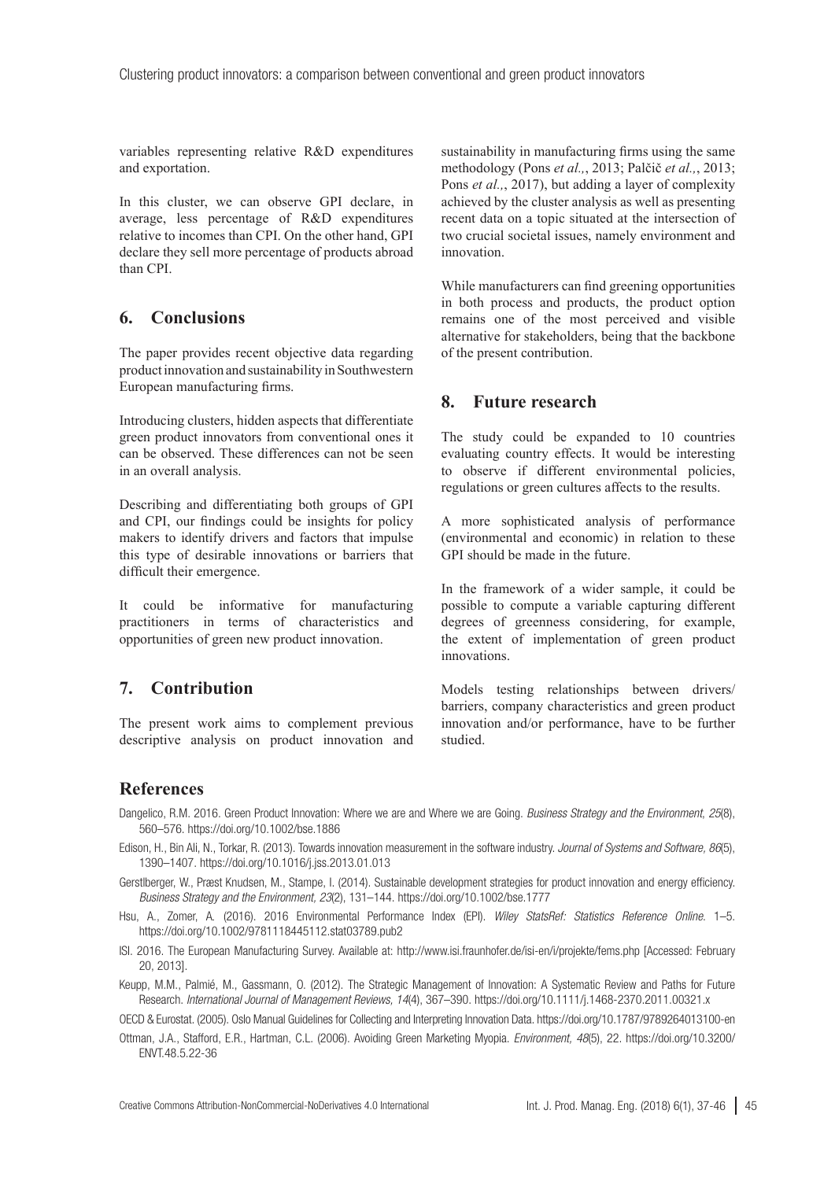variables representing relative R&D expenditures and exportation.

In this cluster, we can observe GPI declare, in average, less percentage of R&D expenditures relative to incomes than CPI. On the other hand, GPI declare they sell more percentage of products abroad than CPI.

## **6. Conclusions**

The paper provides recent objective data regarding product innovation and sustainability in Southwestern European manufacturing firms.

Introducing clusters, hidden aspects that differentiate green product innovators from conventional ones it can be observed. These differences can not be seen in an overall analysis.

Describing and differentiating both groups of GPI and CPI, our findings could be insights for policy makers to identify drivers and factors that impulse this type of desirable innovations or barriers that difficult their emergence.

It could be informative for manufacturing practitioners in terms of characteristics and opportunities of green new product innovation.

## **7. Contribution**

The present work aims to complement previous descriptive analysis on product innovation and sustainability in manufacturing firms using the same methodology (Pons *et al.,*, 2013; Palčič *et al.,*, 2013; Pons *et al.*, 2017), but adding a layer of complexity achieved by the cluster analysis as well as presenting recent data on a topic situated at the intersection of two crucial societal issues, namely environment and innovation.

While manufacturers can find greening opportunities in both process and products, the product option remains one of the most perceived and visible alternative for stakeholders, being that the backbone of the present contribution.

## **8. Future research**

The study could be expanded to 10 countries evaluating country effects. It would be interesting to observe if different environmental policies, regulations or green cultures affects to the results.

A more sophisticated analysis of performance (environmental and economic) in relation to these GPI should be made in the future.

In the framework of a wider sample, it could be possible to compute a variable capturing different degrees of greenness considering, for example, the extent of implementation of green product innovations.

Models testing relationships between drivers/ barriers, company characteristics and green product innovation and/or performance, have to be further studied.

## **References**

- Dangelico, R.M. 2016. Green Product Innovation: Where we are and Where we are Going. *Business Strategy and the Environment*, *25*(8), 560–576. <https://doi.org/10.1002/bse.1886>
- Edison, H., Bin Ali, N., Torkar, R. (2013). Towards innovation measurement in the software industry. *Journal of Systems and Software, 86*(5), 1390–1407. <https://doi.org/10.1016/j.jss.2013.01.013>
- Gerstiberger. W., Præst Knudsen, M., Stampe, I. (2014). Sustainable development strategies for product innovation and energy efficiency. *Business Strategy and the Environment, 23*(2), 131–144. <https://doi.org/10.1002/bse.1777>
- Hsu, A., Zomer, A*.* (2016). 2016 Environmental Performance Index (EPI). *Wiley StatsRef: Statistics Reference Online*. 1–5. <https://doi.org/10.1002/9781118445112.stat03789.pub2>
- ISI. 2016. The European Manufacturing Survey. Available at: <http://www.isi.fraunhofer.de/isi-en/i/projekte/fems.php> [Accessed: February 20, 2013].
- Keupp, M.M., Palmié, M., Gassmann, O. (2012). The Strategic Management of Innovation: A Systematic Review and Paths for Future Research. *International Journal of Management Reviews, 14*(4), 367–390.<https://doi.org/10.1111/j.1468-2370.2011.00321.x>

OECD & Eurostat. (2005). Oslo Manual Guidelines for Collecting and Interpreting Innovation Data.<https://doi.org/10.1787/9789264013100-en>

Ottman, J.A., Stafford, E.R., Hartman, C.L. (2006). Avoiding Green Marketing Myopia. *Environment, 48*(5), 22. [https://doi.org/10.3200/](https://doi.org/10.3200/ENVT.48.5.22-36) [ENVT.48.5.22-36](https://doi.org/10.3200/ENVT.48.5.22-36)